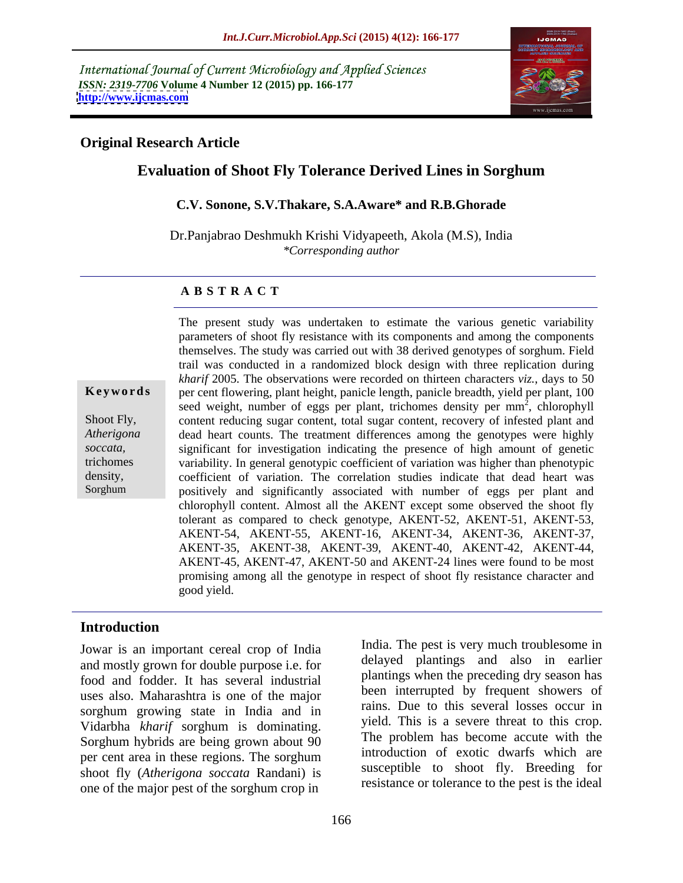International Journal of Current Microbiology and Applied Sciences *ISSN: 2319-7706* **Volume 4 Number 12 (2015) pp. 166-177 <http://www.ijcmas.com>**



### **Original Research Article**

# **Evaluation of Shoot Fly Tolerance Derived Lines in Sorghum**

### **C.V. Sonone, S.V.Thakare, S.A.Aware\* and R.B.Ghorade**

Dr.Panjabrao Deshmukh Krishi Vidyapeeth, Akola (M.S), India *\*Corresponding author*

### **A B S T R A C T**

Sorghum

The present study was undertaken to estimate the various genetic variability parameters of shoot fly resistance with its components and among the components themselves. The study was carried out with 38 derived genotypes of sorghum. Field trail was conducted in a randomized block design with three replication during *kharif* 2005. The observations were recorded on thirteen characters *viz.*, days to 50 per cent flowering, plant height, panicle length, panicle breadth, yield per plant, 100 **Ke ywo rds** seed weight, number of eggs per plant, trichomes density per  $mm<sup>2</sup>$ , chlorophyll  $\overline{2}$  oblorophyll , chlorophyll Shoot Fly, content reducing sugar content, total sugar content, recovery of infested plant and dead heart counts. The treatment differences among the genotypes were highly *Atherigona*  soccata, significant for investigation indicating the presence of high amount of genetic variability. In general genotypic coefficient of variation was higher than phenotypic trichomes coefficient of variation. The correlation studies indicate that dead heart was density, positively and significantly associated with number of eggs per plant and chlorophyll content. Almost all the AKENT except some observed the shoot fly tolerant as compared to check genotype, AKENT-52, AKENT-51, AKENT-53, AKENT-54, AKENT-55, AKENT-16, AKENT-34, AKENT-36, AKENT-37, AKENT-35, AKENT-38, AKENT-39, AKENT-40, AKENT-42, AKENT-44, AKENT-45, AKENT-47, AKENT-50 and AKENT-24 lines were found to be most promising among all the genotype in respect of shoot fly resistance character and good yield.

### **Introduction**

Jowar is an important cereal crop of India and mostly grown for double purpose i.e. for food and fodder. It has several industrial uses also. Maharashtra is one of the major sorghum growing state in India and in Vidarbha *kharif* sorghum is dominating. Sorghum hybrids are being grown about 90 per cent area in these regions. The sorghum shoot fly (*Atherigona soccata* Randani) is one of the major pest of the sorghum crop in

India. The pest is very much troublesome in delayed plantings and also in earlier plantings when the preceding dry season has been interrupted by frequent showers of rains. Due to this several losses occur in yield. This is a severe threat to this crop. The problem has become accute with the introduction of exotic dwarfs which are susceptible to shoot fly. Breeding for resistance or tolerance to the pest is the ideal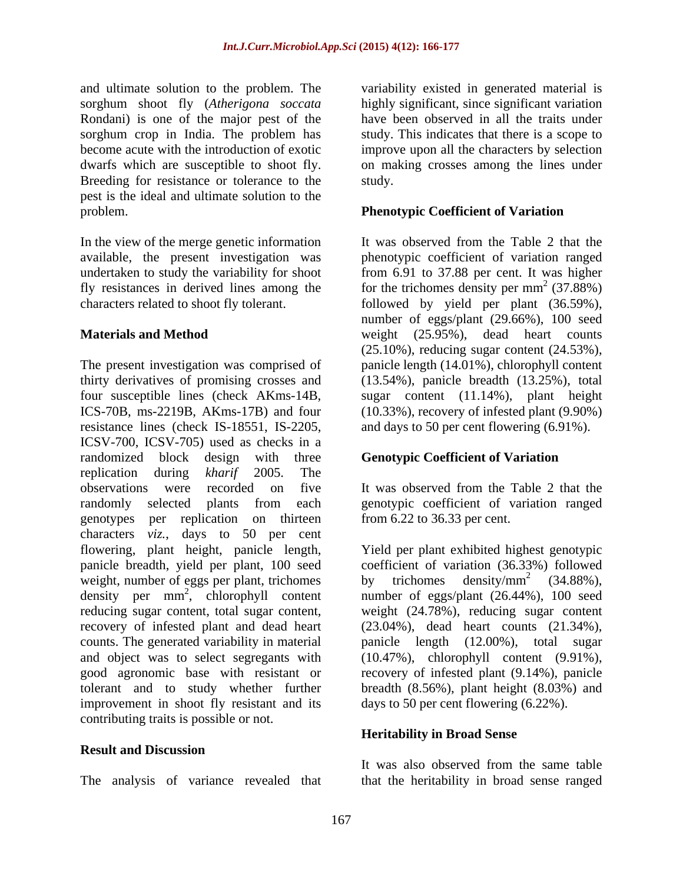and ultimate solution to the problem. The sorghum shoot fly (*Atherigona soccata* Rondani) is one of the major pest of the sorghum crop in India. The problem has become acute with the introduction of exotic improve upon all the characters by selection dwarfs which are susceptible to shoot fly. on making crosses among the lines under Breeding for resistance or tolerance to the study. pest is the ideal and ultimate solution to the problem. **Phenotypic Coefficient of Variation** 

In the view of the merge genetic information It was observed from the Table 2 that the

The present investigation was comprised of thirty derivatives of promising crosses and (13.54%), panicle breadth (13.25%), total four susceptible lines (check AKms-14B, sugar content (11.14%), plant height ICS-70B, ms-2219B, AKms-17B) and four (10.33%), recovery of infested plant (9.90%) resistance lines (check IS-18551, IS-2205, and days to 50 per cent flowering (6.91%). ICSV-700, ICSV-705) used as checks in a randomized block design with three replication during *kharif* 2005. The observations were recorded on five It was observed from the Table 2 that the randomly selected plants from each genotypic coefficient of variation ranged genotypes per replication on thirteen characters *viz.*, days to 50 per cent flowering, plant height, panicle length, Yield per plant exhibited highest genotypic panicle breadth, yield per plant, 100 seed coefficient of variation (36.33%) followed weight, number of eggs per plant, trichomes<br>density/mm<sup>2</sup> (34.88%),<br>density per mm<sup>2</sup>, chlorophyll content number of eggs/plant (26.44%), 100 seed density per mm 2 , chlorophyll content number of eggs/plant (26.44%), 100 seed reducing sugar content, total sugar content, weight (24.78%), reducing sugar content recovery of infested plant and dead heart (23.04%), dead heart counts (21.34%), counts. The generated variability in material panicle length (12.00%), total sugar and object was to select segregants with (10.47%), chlorophyll content (9.91%), good agronomic base with resistant or recovery of infested plant (9.14%), panicle tolerant and to study whether further improvement in shoot fly resistant and its contributing traits is possible or not.

### **Result and Discussion**

variability existed in generated material is highly significant, since significant variation have been observed in all the traits under study. This indicates that there is a scope to study.

available, the present investigation was phenotypic coefficient of variation ranged undertaken to study the variability for shoot from 6.91 to 37.88 per cent. It was higher fly resistances in derived lines among the for the trichomes density per  $mm<sup>2</sup>$  (37.88%) characters related to shoot fly tolerant. followed by yield per plant (36.59%), **Materials and Method** weight (25.95%), dead heart counts It was observed from the Table 2 that the  $^{2}$  (27.990) (37.88%) number of eggs/plant (29.66%), 100 seed (25.10%), reducing sugar content (24.53%), panicle length (14.01%), chlorophyll content

## **Genotypic Coefficient of Variation**

from 6.22 to 36.33 per cent.

by trichomes density/mm<sup>2</sup> (34.88%), 2  $(24.9901)$ (34.88%), panicle length  $(12.00\%)$ , breadth (8.56%), plant height (8.03%) and days to 50 per cent flowering (6.22%).

### **Heritability in Broad Sense**

The analysis of variance revealed that that the heritability in broad sense ranged It was also observed from the same table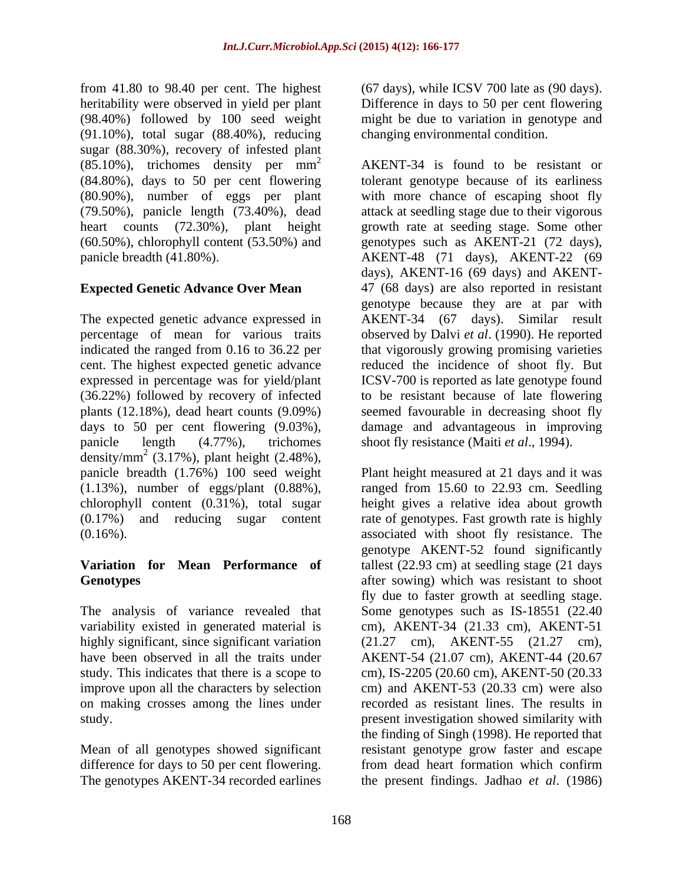from 41.80 to 98.40 per cent. The highest heritability were observed in yield per plant Difference in days to 50 per cent flowering (98.40%) followed by 100 seed weight might be due to variation in genotype and (91.10%), total sugar (88.40%), reducing sugar (88.30%), recovery of infested plant  $(85.10\%)$ , trichomes density per mm<sup>2</sup>

panicle length (4.77%), trichomes shoot fly resistance (Maiti *et al*., 1994). density/mm<sup>2</sup> (3.17%), plant height (2.48%),

variability existed in generated material is highly significant, since significant variation (21.27 cm), AKENT-55 (21.27 cm), on making crosses among the lines under

Mean of all genotypes showed significant difference for days to 50 per cent flowering. The genotypes AKENT-34 recorded earlines the present findings. Jadhao *et al*. (1986)

(67 days), while ICSV 700 late as (90 days). changing environmental condition.

 $2^2$  AKENT-34 is found to be resistant or (84.80%), days to 50 per cent flowering tolerant genotype because of its earliness (80.90%), number of eggs per plant with more chance of escaping shoot fly (79.50%), panicle length (73.40%), dead attack at seedling stage due to their vigorous heart counts (72.30%), plant height growth rate at seeding stage. Some other (60.50%), chlorophyll content (53.50%) and genotypes such as AKENT-21 (72 days), panicle breadth (41.80%). AKENT-48 (71 days), AKENT-22 (69 **Expected Genetic Advance Over Mean**  47 (68 days) are also reported in resistant The expected genetic advance expressed in AKENT-34 (67 days). Similar result percentage of mean for various traits observed by Dalvi *et al*. (1990). He reported indicated the ranged from 0.16 to 36.22 per that vigorously growing promising varieties cent. The highest expected genetic advance reduced the incidence of shoot fly. But expressed in percentage was for yield/plant ICSV-700 is reported as late genotype found (36.22%) followed by recovery of infected to be resistant because of late flowering plants (12.18%), dead heart counts (9.09%) seemed favourable in decreasing shoot fly days to 50 per cent flowering (9.03%), damage and advantageous in improving days), AKENT-16 (69 days) and AKENT genotype because they are at par with

panicle breadth (1.76%) 100 seed weight Plant height measured at21 days and it was (1.13%), number of eggs/plant (0.88%), ranged from 15.60 to 22.93 cm. Seedling chlorophyll content (0.31%), total sugar height gives a relative idea about growth (0.17%) and reducing sugar content rate of genotypes. Fast growth rate is highly (0.16%). associated with shoot fly resistance. The **Variation for Mean Performance of** tallest (22.93 cm) at seedling stage (21 days Genotypes **Genotypes** after sowing) which was resistant to shoot The analysis of variance revealed that Some genotypes such as IS-18551 (22.40 have been observed in all the traits under AKENT-54 (21.07 cm), AKENT-44 (20.67 study. This indicates that there is a scope to cm), IS-2205 (20.60 cm), AKENT-50 (20.33 improve upon all the characters by selection cm) and AKENT-53 (20.33 cm) were also study. present investigation showed similarity with genotype AKENT-52 found significantly fly due to faster growth at seedling stage. cm), AKENT-34 (21.33 cm), AKENT-51 (21.27 cm), AKENT-55 (21.27 recorded as resistant lines. The results in the finding of Singh (1998). He reported that resistant genotype grow faster and escape from dead heart formation which confirm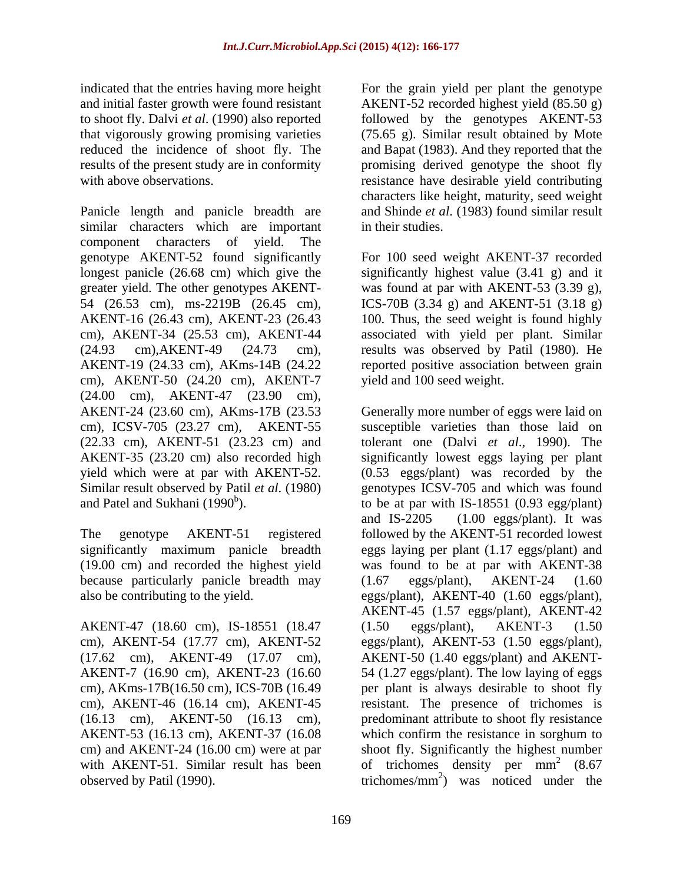indicated that the entries having more height For the grain yield per plant the genotype and initial faster growth were found resistant AKENT-52 recorded highest yield (85.50 g) to shoot fly. Dalvi *et al*. (1990) also reported followed by the genotypes AKENT-53 that vigorously growing promising varieties (75.65 g). Similar result obtained by Mote reduced the incidence of shoot fly. The and Bapat (1983). And they reported that the results of the present study are in conformity environmently promising derived genotype the shoot fly with above observations. The resistance have desirable yield contributing

Panicle length and panicle breadth are similar characters which are important in their studies. component characters of yield. The genotype AKENT-52 found significantly For 100 seed weight AKENT-37 recorded longest panicle (26.68 cm) which give the significantly highest value (3.41 g) and it greater yield. The other genotypes AKENT- 54 (26.53 cm), ms-2219B (26.45 cm), ICS-70B (3.34 g) and AKENT-51 (3.18 g) AKENT-16 (26.43 cm), AKENT-23 (26.43 100. Thus, the seed weight is found highly cm), AKENT-34 (25.53 cm), AKENT-44 associated with yield per plant. Similar (24.93 cm),AKENT-49 (24.73 cm), results was observed by Patil (1980). He AKENT-19 (24.33 cm), AKms-14B (24.22 reported positive association between grain cm), AKENT-50 (24.20 cm), AKENT-7 (24.00 cm), AKENT-47 (23.90 cm),

because particularly panicle breadth may (1.67 eggs/plant), AKENT-24 (1.60

AKENT-47 (18.60 cm), IS-18551 (18.47 (1.50 eggs/plant), AKENT-3 (1.50 cm), AKENT-46 (16.14 cm), AKENT-45

characters like height, maturity, seed weight and Shinde*et al*. (1983) found similar result in their studies.

was found at par with AKENT-53 (3.39 g), yield and 100 seed weight.

AKENT-24 (23.60 cm), AKms-17B (23.53 Generally more number of eggs were laid on cm), ICSV-705 (23.27 cm), AKENT-55 susceptible varieties than those laid on (22.33 cm), AKENT-51 (23.23 cm) and tolerant one (Dalvi *et al*., 1990). The AKENT-35 (23.20 cm) also recorded high significantly lowest eggs laying per plant yield which were at par with AKENT-52. (0.53 eggs/plant) was recorded by the Similar result observed by Patil *et al*. (1980) genotypes ICSV-705 and which was found and Patel and Sukhani  $(1990<sup>b</sup>)$ . to be at par with IS-18551 (0.93 egg/plant) The genotype AKENT-51 registered followed by the AKENT-51 recorded lowest significantly maximum panicle breadth eggs laying per plant (1.17 eggs/plant) and (19.00 cm) and recorded the highest yield was found to be at par with AKENT-38 also be contributing to the yield. eggs/plant), AKENT-40 (1.60 eggs/plant), cm), AKENT-54 (17.77 cm), AKENT-52 eggs/plant), AKENT-53 (1.50 eggs/plant), (17.62 cm), AKENT-49 (17.07 cm), AKENT-50 (1.40 eggs/plant) and AKENT- AKENT-7 (16.90 cm), AKENT-23 (16.60 54 (1.27 eggs/plant). The low laying of eggs cm), AKms-17B(16.50 cm), ICS-70B (16.49 per plant is always desirable to shoot fly (16.13 cm), AKENT-50 (16.13 cm), predominant attribute to shoot fly resistance AKENT-53 (16.13 cm), AKENT-37 (16.08 which confirm the resistance in sorghum to cm) and AKENT-24 (16.00 cm) were at par shoot fly. Significantly the highest number with AKENT-51. Similar result has been of trichomes density per  $mm<sup>2</sup>$  (8.67) observed by Patil (1990).  $triangle{trichomes/mm}^2$  was noticed under the and IS-2205 (1.00 eggs/plant). It was (1.67 eggs/plant), AKENT-24 (1.60 AKENT-45 (1.57 eggs/plant), AKENT-42 (1.50 eggs/plant), AKENT-3 (1.50 resistant. The presence of trichomes is 2 (8.67) (8.67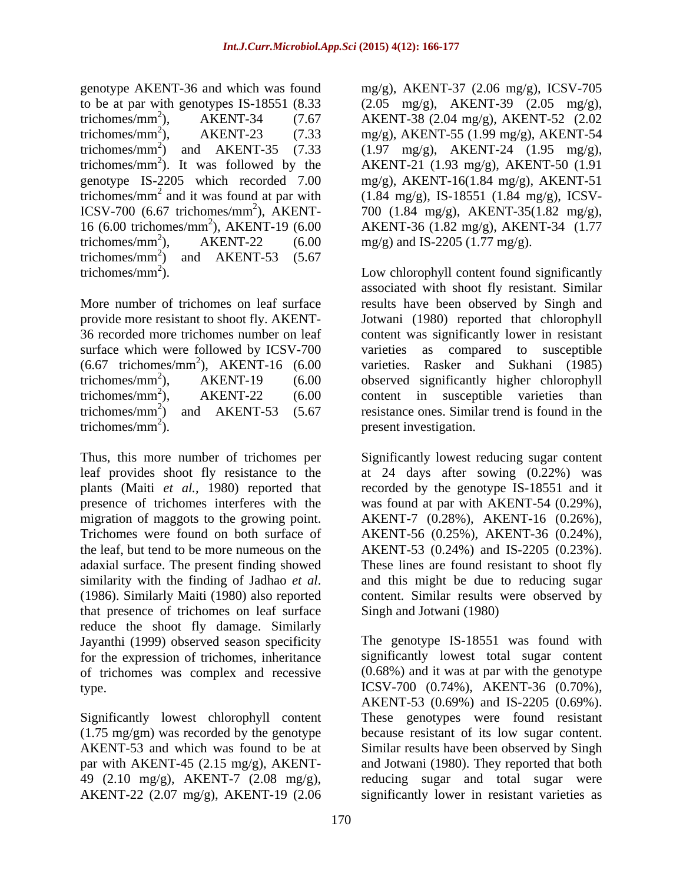genotype AKENT-36 and which was found to be at par with genotypes IS-18551 (8.33  $(2.05 \text{ mg/g})$ , AKENT-39  $(2.05 \text{ mg/g})$ , trichomes/mm<sup>2</sup> ), AKENT-34 (7.67 AKENT-38 (2.04 mg/g), AKENT-52 (2.02 trichomes/mm<sup>2</sup>), AKENT-23 (7.33 mg/g), AKENT-55 (1.99 mg/g), AKENT-54 trichomes/mm<sup>2</sup>) and AKENT-35 (7.33 (1.97 mg/g), AKENT-24 (1.95 mg/g), trichomes/ $mm<sup>2</sup>$ ). It was followed by the genotype IS-2205 which recorded 7.00 trichomes/ $mm<sup>2</sup>$  and it was found at par with ICSV-700 (6.67 trichomes/mm<sup>2</sup>), AKENT-16 (6.00 trichomes/mm 2 ), AKENT-19 (6.00 AKENT-36 (1.82 mg/g), AKENT-34 (1.77 trichomes/mm<sup>2</sup>), AKENT-22 (6.00 mg/g) and IS-2205 (1.77 mg/g). trichomes/mm<sup>2</sup>) and AKENT-53  $(5.67)$ ) and AKENT-53 (5.67

surface which were followed by ICSV-700 varieties

Thus, this more number of trichomes per Significantly lowest reducing sugar content leaf provides shoot fly resistance to the at 24 days after sowing (0.22%) was plants (Maiti *et al.,* 1980) reported that recorded by the genotype IS-18551 and it presence of trichomes interferes with the was found at par with AKENT-54 (0.29%), migration of maggots to the growing point. AKENT-7 (0.28%), AKENT-16 (0.26%), Trichomes were found on both surface of AKENT-56 (0.25%), AKENT-36 (0.24%), the leaf, but tend to be more numeous on the AKENT-53 (0.24%) and IS-2205 (0.23%). adaxial surface. The present finding showed These lines are found resistant to shoot fly similarity with the finding of Jadhao *et al*. and this might be due to reducing sugar (1986). Similarly Maiti (1980) also reported content. Similar results were observed by that presence of trichomes on leaf surface reduce the shoot fly damage. Similarly Jayanthi (1999) observed season specificity for the expression of trichomes, inheritance of trichomes was complex and recessive

(1.75 mg/gm) was recorded by the genotype AKENT-53 and which was found to be at Similar results have been observed by Singh AKENT-22 (2.07 mg/g), AKENT-19 (2.06 significantly lower in resistant varieties as

). It was followed by the AKENT-21 (1.93 mg/g), AKENT-50 (1.91 and it was found at par with (1.84 mg/g), IS-18551 (1.84 mg/g), ICSV- <sup>2</sup>), AKENT- 700 (1.84 mg/g), AKENT-35(1.82 mg/g), mg/g), AKENT-37 (2.06 mg/g), ICSV-705 mg/g), AKENT-16(1.84 mg/g), AKENT-51

trichomes/ $mm<sup>2</sup>$ ). Low chlorophyll content found significantly More number of trichomes on leaf surface results have been observed by Singh and provide more resistant to shoot fly. AKENT- Jotwani (1980) reported that chlorophyll 36 recorded more trichomes number on leaf content was significantly lower in resistant (6.67 trichomes/mm<sup>2</sup> ), AKENT-16 (6.00 varieties. Rasker and Sukhani (1985) trichomes/mm<sup>2</sup> ), AKENT-19 (6.00 observed significantly higher chlorophyll trichomes/mm<sup>2</sup>), AKENT-22  $(6.00$  content in susceptible varieties than ), AKENT-22 (6.00 content in susceptible varieties than trichomes/mm<sup>2</sup>) and AKENT-53 (5.67 resistance ones. Similar trend is found in the trichomes/mm<sup>2</sup>). present investigation. ). present investigation. associated with shoot fly resistant. Similar as compared to susceptible content in susceptible varieties than

> and this might be due to reducing sugar content. Similar results were observed by Singh and Jotwani (1980)

type. ICSV-700 (0.74%), AKENT-36 (0.70%), Significantly lowest chlorophyll content These genotypes were found resistant par with AKENT-45 (2.15 mg/g), AKENT- and Jotwani (1980). They reported that both 49 (2.10 mg/g), AKENT-7 (2.08 mg/g), reducing sugar and total sugar were The genotype IS-18551 was found with significantly lowest total sugar content (0.68%) and it was at par with the genotype AKENT-53 (0.69%) and IS-2205 (0.69%). because resistant of its low sugar content. Similar results have been observed by Singh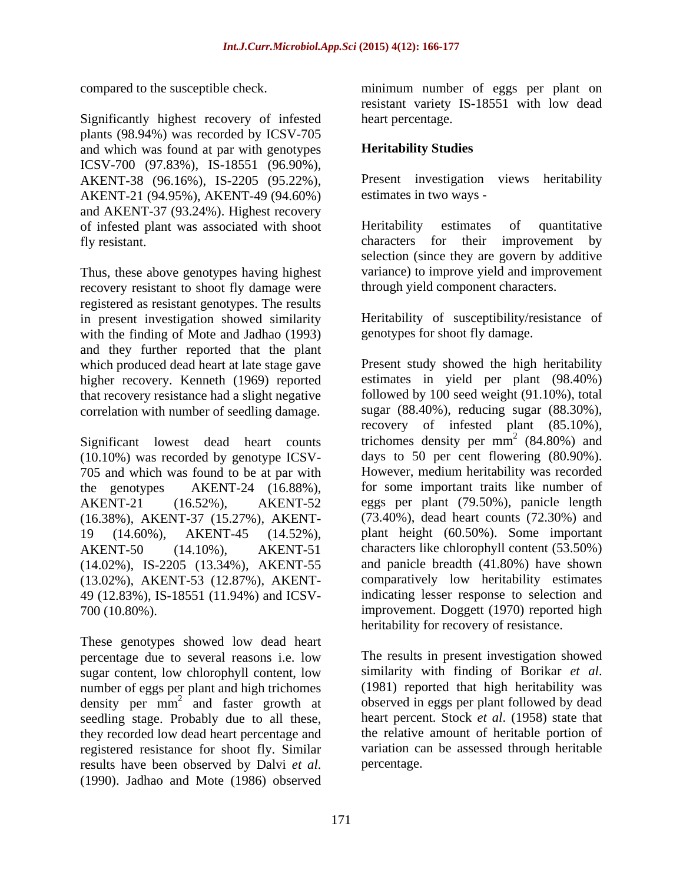Significantly highest recovery of infested plants (98.94%) was recorded by ICSV-705 and which was found at par with genotypes ICSV-700 (97.83%), IS-18551 (96.90%), AKENT-38 (96.16%), IS-2205 (95.22%), AKENT-21 (94.95%), AKENT-49 (94.60%) and AKENT-37 (93.24%). Highest recovery of infested plant was associated with shoot fly resistant. by characters for their improvement by

Thus, these above genotypes having highest recovery resistant to shoot fly damage were registered as resistant genotypes. The results in present investigation showed similarity Heritability of susceptibility/resistance of with the finding of Mote and Jadhao (1993) and they further reported that the plant which produced dead heart at late stage gave higher recovery. Kenneth (1969) reported that recovery resistance had a slight negative correlation with number of seedling damage.

Significant lowest dead heart counts trichomes density per  $mm^2$  (84.80%) and (10.10%) was recorded by genotype ICSV- days to 50 per cent flowering (80.90%).  $(10.10\%)$  was recorded by genotype ICSV-<br>  $(10.10\%)$  and which was found to be at par with<br>
However, medium heritability was recorded 705 and which was found to be at par with (16.38%), AKENT-37 (15.27%), AKENT- (14.02%), IS-2205 (13.34%), AKENT-55 (13.02%), AKENT-53 (12.87%), AKENT- 49 (12.83%), IS-18551 (11.94%) and ICSV-

These genotypes showed low dead heart sugar content, low chlorophyll content, low similarity with finding of Borikar *et al*.<br>number of eggs per plant and high trichomes (1981) reported that high heritability was density per  $\overline{mn}^2$  and faster growth at seedling stage. Probably due to all these, they recorded low dead heart percentage and results have been observed by Dalvi *et al*. (1990). Jadhao and Mote (1986) observed

compared to the susceptible check. minimum number of eggs per plant on resistant variety IS-18551 with low dead heart percentage.

# **Heritability Studies**

Present investigation views heritability estimates in two ways -

Heritability estimates of quantitative characters for their improvement by selection (since they are govern by additive variance) to improve yield and improvement through yield component characters.

genotypes for shoot fly damage.

the genotypes AKENT-24 (16.88%), for some important traits like number of AKENT-21 (16.52%), AKENT-52 eggs per plant (79.50%), panicle length 19 (14.60%), AKENT-45 (14.52%), plant height (60.50%). Some important AKENT-50 (14.10%), AKENT-51 characters like chlorophyll content (53.50%) 700 (10.80%). improvement. Doggett (1970) reported high Present study showed the high heritability estimates in yield per plant (98.40%) followed by 100 seed weight (91.10%), total sugar (88.40%), reducing sugar (88.30%), recovery of infested plant (85.10%), trichomes density per  $mm<sup>2</sup>$  (84.80%) and  $^{2}$  (84.800) and (84.80%) and days to <sup>50</sup> per cent flowering (80.90%). However, medium heritability was recorded (73.40%), dead heart counts (72.30%) and and panicle breadth (41.80%) have shown comparatively low heritability estimates indicating lesser response to selection and heritability for recovery of resistance.

percentage due to several reasons i.e. low The results in present investigation showed (1981) reported that high heritability was <sup>2</sup> and faster growth at observed in eggs per plant followed by dead registered resistance for shoot fly. Similar variation can be assessed through heritable similarity with finding of Borikar *et al*. (1981) reported that high heritability was heart percent. Stock *et al*. (1958) state that the relative amount of heritable portion of percentage.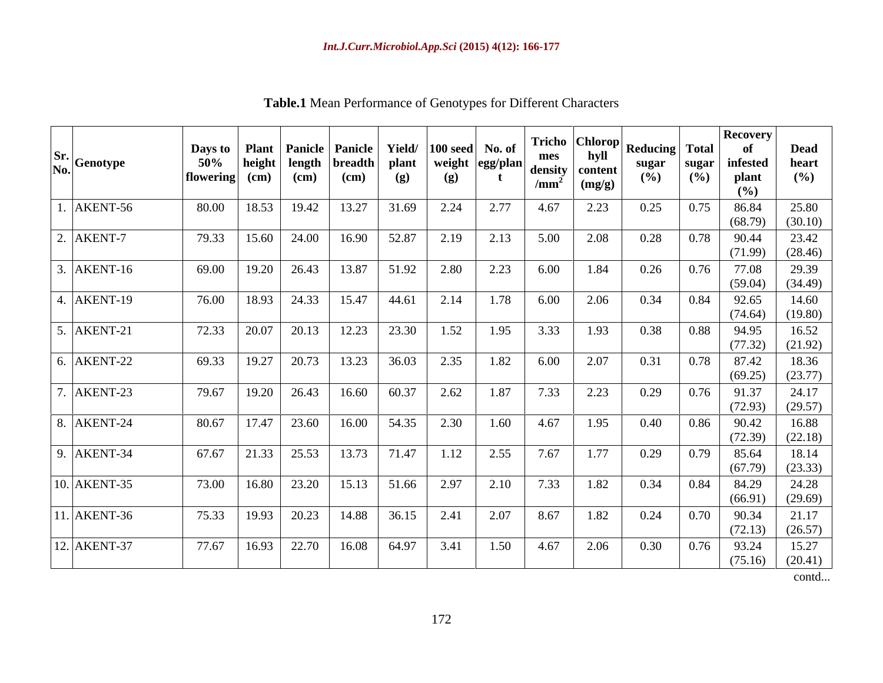| Sr. Genotype | Days to<br>50%<br>flowering | <b>Plant</b><br>height<br>(cm) | length<br>$(cm)$ | <b>Panicle Panicle</b><br><b>breadth</b><br>$(cm)$ | Yield/<br>plant<br>(g) | $ 100 \text{ seed} $ No. of<br>weight<br>(g) | $\cdot$  egg/plan . | Fricho<br>mes<br>density<br>$/\text{mm}^2$ | <b>Chlorop</b><br>hyll<br>content<br>(mg/g) | <b>Reducing</b><br>sugar<br>$(\%)$ | <b>Total</b><br>sugar<br>(%) | <b>Recovery</b><br>-of<br>$\bold{infested}$<br>plant<br>(%) | <b>Dead</b><br>heart<br>(%) |
|--------------|-----------------------------|--------------------------------|------------------|----------------------------------------------------|------------------------|----------------------------------------------|---------------------|--------------------------------------------|---------------------------------------------|------------------------------------|------------------------------|-------------------------------------------------------------|-----------------------------|
| AKENT-56     | 80.00                       | 18.53                          | 19.42            | 13.27                                              | 31.69                  | 2.24                                         | 2.77                | 4.67                                       | 2.23                                        | 0.25                               | 0.75                         | 86.84<br>(68.79)                                            | 25.80<br>(30.10)            |
| AKENT-7      | 79.33                       | 15.60                          | 24.00            | 16.90                                              | 52.87                  | 2.19                                         | 2.13                | 5.00                                       | 2.08                                        | 0.28                               | 0.78                         | 90.44<br>(71.99)                                            | 23.42<br>(28.46)            |
| 3. AKENT-16  | 69.00                       | 19.20                          | 26.43            | 13.87                                              | 51.92                  | 2.80                                         | 2.23                | 6.00                                       | 1.84                                        | 0.26                               | 0.76                         | 77.08<br>(59.04)                                            | 29.39<br>(34.49)            |
| 4. AKENT-19  | 76.00                       | 18.93                          | 24.33            | 15.47                                              | 44.61                  | 2.14                                         | 1.78                | 6.00                                       | 2.06                                        | 0.34                               | 0.84                         | 92.65<br>(74.64)                                            | 14.60<br>(19.80)            |
| 5. AKENT-21  | 72.33                       | 20.07                          | 20.13            | 12.23                                              | 23.30                  | 1.52                                         | 1.95                | 3.33                                       | 1.93                                        | 0.38                               | 0.88                         | 94.95<br>(77.32)                                            | 16.52<br>(21.92)            |
| 6. AKENT-22  | 69.33                       | 19.27                          | 20.73            | 13.23                                              | 36.03                  | 2.35                                         | 1.82                | 6.00                                       | 2.07                                        | 0.31                               | 0.78                         | 87.42<br>(69.25)                                            | 18.36<br>(23.77)            |
| 7. AKENT-23  | 79.67                       | 19.20                          | 26.43            | 16.60                                              | 60.37                  | 2.62                                         | 1.87                | 7.33                                       | 2.23                                        | 0.29                               | 0.76                         | 91.37<br>(72.93)                                            | 24.17<br>(29.57)            |
| 8. AKENT-24  | 80.67                       | 17.47                          | 23.60            | 16.00                                              | 54.35                  | 2.30                                         | 1.60                | 4.67                                       | 1.95                                        | 0.40                               | 0.86                         | 90.42<br>(72.39)                                            | 16.88<br>(22.18)            |
| 9. AKENT-34  | 67.67                       | 21.33                          | 25.53            | 13.73                                              | 71.47                  | 1.12                                         | 2.55                | 7.67                                       | 1.77                                        | 0.29                               | 0.79                         | 85.64<br>(67.79)                                            | 18.14<br>(23.33)            |
| 10. AKENT-35 | 73.00                       | 16.80                          | 23.20            | 15.13                                              | 51.66                  | 2.97                                         | 2.10                | 7.33                                       | 1.82                                        | 0.34                               | 0.84                         | 84.29<br>(66.91)                                            | 24.28<br>(29.69)            |
| 11. AKENT-36 | 75.33                       | 19.93                          | 20.23            | 14.88                                              | 36.15                  | 2.41                                         | 2.07                | 8.67                                       | 1.82                                        | 0.24                               | 0.70                         | 90.34<br>(72.13)                                            | 21.17<br>(26.57)            |
| 12. AKENT-37 | 77.67                       | 16.93                          | 22.70            | 16.08                                              | 64.97                  | 3.41                                         | 1.50                | 4.67                                       | 2.06                                        | 0.30                               | 0.76                         | 93.24<br>(75.16)                                            | 15.27<br>(20.41)            |

**Table.1** Mean Performance of Genotypes for Different Characters

contd...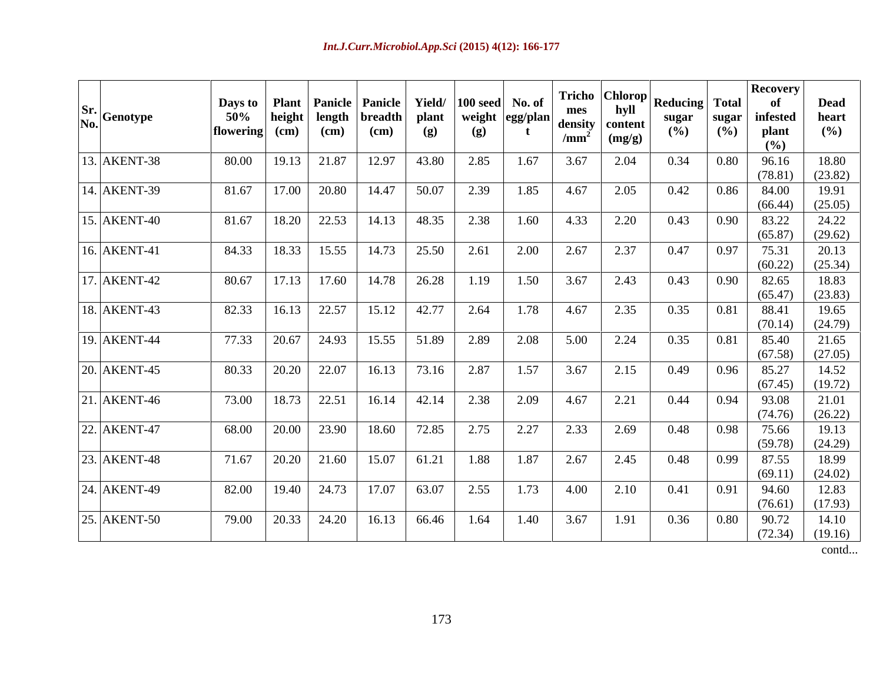| $\begin{array}{c} \n\textbf{Sr.} \\ \textbf{No.} \\ \end{array}$ Genotype | Days to   Plant   Panicle   Panicle   Yield/<br>50%<br>flowering $(cm)$ | height | length<br>(cm) | breadth<br>(cm) | plant<br>(g) | $ 100 \text{ seed} $ No. of<br>(g) | weight egg/plan<br>$\mathbf{t}$ | mes<br>/mm <sup>2</sup> | hyll<br>density content<br>(mg/g) | Tricho $ Chlorop $ Reducing Total<br>sugar<br>(%) | sugar<br>(%) | <b>Recovery</b><br>0ľ<br>infested<br>plant<br>(%) | <b>Dead</b><br>heart<br>$($ %) |
|---------------------------------------------------------------------------|-------------------------------------------------------------------------|--------|----------------|-----------------|--------------|------------------------------------|---------------------------------|-------------------------|-----------------------------------|---------------------------------------------------|--------------|---------------------------------------------------|--------------------------------|
| 13. AKENT-38                                                              | 80.00                                                                   | 19.13  | 21.87          | 12.97           | 43.80        | 2.85                               | 1.67                            | 3.67                    | 2.04                              | 0.34                                              | 0.80         | 96.16<br>(78.81)                                  | 18.80<br>(23.82)               |
| 14. AKENT-39                                                              | 81.67                                                                   | 17.00  | 20.80          | 14.47           | 50.07        | 2.39                               | 1.85                            | 4.67                    | 2.05                              | 0.42                                              | 0.86         | 84.00                                             | 19.91                          |
| 15. AKENT-40                                                              | 81.67                                                                   | 18.20  | 22.53          | 14.13           | 48.35        | 2.38                               | 1.60                            | 4.33                    | 2.20                              | 0.43                                              | 0.90         | (66.44)<br>83.22                                  | (25.05)<br>24.22               |
|                                                                           |                                                                         |        |                |                 |              |                                    |                                 |                         |                                   |                                                   |              | (65.87)                                           | (29.62)                        |
| 16. AKENT-41                                                              | 84.33                                                                   | 18.33  | 15.55          | 14.73           | 25.50        | 2.61                               | 2.00                            | 2.67                    | 2.37                              | 0.47                                              | 0.97         | 75.31<br>(60.22)                                  | 20.13<br>(25.34)               |
| 17. AKENT-42                                                              | 80.67                                                                   | 17.13  | 17.60          | 14.78           | 26.28        | 1.19                               | 1.50                            | 3.67                    | 2.43                              | 0.43                                              | 0.90         | 82.65                                             | 18.83                          |
| 18. AKENT-43                                                              | 82.33                                                                   | 16.13  | 22.57          | 15.12           | 42.77        | 2.64                               | 1.78                            | 4.67                    | 2.35                              | 0.35                                              | 0.81         | (65.47)<br>88.41                                  | (23.83)<br>19.65               |
|                                                                           |                                                                         |        |                |                 |              |                                    |                                 |                         |                                   |                                                   |              | (70.14)                                           | (24.79)                        |
| $\sqrt{19}$ . AKENT-44                                                    | 77.33                                                                   | 20.67  | 24.93          | 15.55           | 51.89        | 2.89                               | 2.08                            | 5.00                    | 2.24                              | 0.35                                              | 0.81         | 85.40<br>(67.58)                                  | 21.65<br>(27.05)               |
| 20. AKENT-45                                                              | 80.33                                                                   | 20.20  | 22.07          | 16.13           | 73.16        | 2.87                               | 1.57                            | 3.67                    | 2.15                              | 0.49                                              | 0.96         | 85.27                                             | 14.52                          |
| $21.$ AKENT-46                                                            | 73.00                                                                   | 18.73  | 22.51          | 16.14           | 42.14        | 2.38                               | 2.09                            | 4.67                    | 2.21                              | 0.44                                              | 0.94         | (67.45)<br>93.08                                  | (19.72)<br>21.01               |
|                                                                           |                                                                         |        |                |                 |              |                                    |                                 |                         |                                   |                                                   |              | (74.76)                                           | (26.22)                        |
| 22. AKENT-47                                                              | 68.00                                                                   | 20.00  | 23.90          | 18.60           | 72.85        | 2.75                               | 2.27                            | 2.33                    | 2.69                              | 0.48                                              | 0.98         | 75.66<br>(59.78)                                  | 19.13<br>(24.29)               |
| 23. AKENT-48                                                              | 71.67                                                                   | 20.20  | 21.60          | 15.07           | 61.21        | 1.88                               | 1.87                            | 2.67                    | 2.45                              | 0.48                                              | 0.99         | 87.55                                             | 18.99                          |
| 24. AKENT-49                                                              | 82.00                                                                   | 19.40  | 24.73          | 17.07           | 63.07        | 2.55                               | 1.73                            | 4.00                    | 2.10                              | 0.41                                              | 0.91         | (69.11)<br>94.60                                  | (24.02)<br>12.83               |
|                                                                           |                                                                         |        |                |                 |              |                                    |                                 |                         |                                   |                                                   |              | (76.61)                                           | (17.93)                        |
| 25. AKENT-50                                                              | 79.00                                                                   | 20.33  | 24.20          | 16.13           | 66.46        | 1.64                               | 1.40                            | 3.67                    | 1.91                              | 0.36                                              | 0.80         | 90.72<br>(72.34)                                  | 14.10<br>(19.16)               |

contd...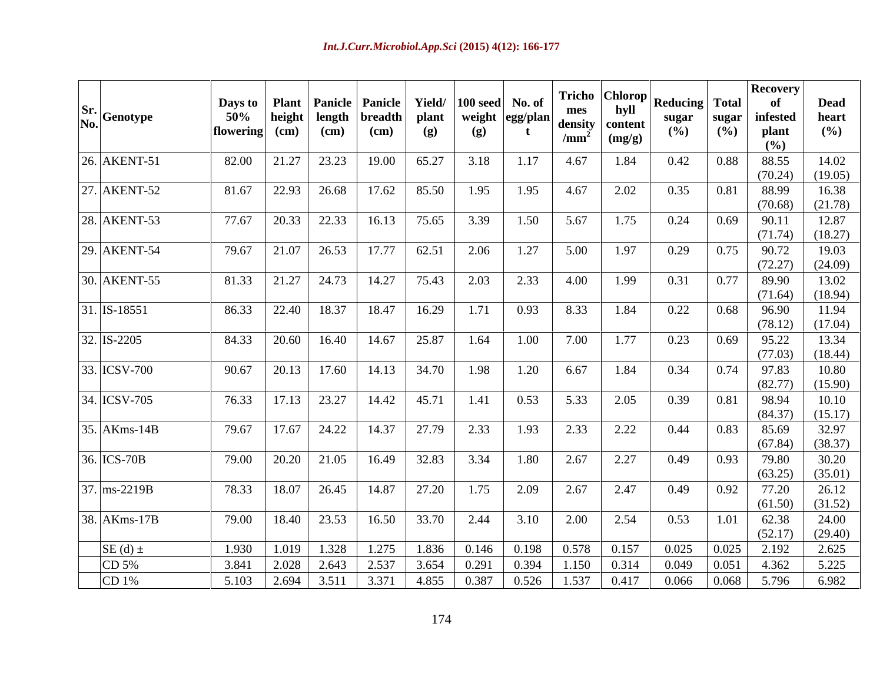| $\begin{array}{c} \n\textbf{Sr.} \\ \textbf{No.} \\ \end{array}$ Genotype | Days to<br>50%<br>$\vert$ flowering $\vert$ (cm) | <b>Plant</b><br>height | length<br>$\mathbf{(cm)}$ | <b>Panicle Panicle</b><br>breadth<br>$\rm (cm)$ | Yield/<br>plant<br>(g) | $100 \text{ seed}$<br>weight<br>(g) | No. of<br>*  egg/plan  . | mes<br>density<br>/mm <sup>2</sup> | Tricho   Chlorop  <br>hyll<br>content<br>(mg/g) | <b>Reducing Total</b><br>sugar<br>(%) | sugar<br>$($ %) | <b>Recovery</b><br>infested<br>plant<br>(%) | <b>Dead</b><br>heart<br>(%) |
|---------------------------------------------------------------------------|--------------------------------------------------|------------------------|---------------------------|-------------------------------------------------|------------------------|-------------------------------------|--------------------------|------------------------------------|-------------------------------------------------|---------------------------------------|-----------------|---------------------------------------------|-----------------------------|
| $26.$ AKENT-51                                                            | 82.00                                            |                        | $21.27$ 23.23             | 19.00                                           | 65.27                  | 3.18                                | 1.17                     | 4.67                               | 1.84                                            | 0.42                                  | 0.88            | 88.55<br>(70.24)                            | 14.02<br>(19.05)            |
| 27. AKENT-52                                                              | 81.67                                            | 22.93                  | 26.68                     | 17.62                                           | 85.50                  | 1.95                                | 1.95                     | 4.67                               | 2.02                                            | 0.35                                  | 0.81            | 88.99<br>(70.68)                            | 16.38<br>(21.78)            |
| $28.$ AKENT-53                                                            | 77.67                                            | 20.33                  | 22.33                     | 16.13                                           | 75.65                  | 3.39                                | 1.50                     | 5.67                               | 1.75                                            | 0.24                                  | 0.69            | 90.11<br>(71.74)                            | 12.87<br>(18.27)            |
| $29.$ AKENT-54                                                            | 79.67                                            | 21.07                  | 26.53                     | 17.77                                           | 62.51                  | 2.06                                | 1.27                     | 5.00                               | 1.97                                            | 0.29                                  | 0.75            | 90.72<br>(72.27)                            | 19.03<br>(24.09)            |
| 30. AKENT-55                                                              | 81.33                                            |                        | $21.27$ 24.73             | 14.27                                           | 75.43                  | 2.03                                | 2.33                     | 4.00                               | 1.99                                            | 0.31                                  | 0.77            | 89.90<br>(71.64)                            | 13.02<br>(18.94)            |
| $31.$ IS-18551                                                            | 86.33                                            | 22.40                  | 18.37                     | 18.47                                           | 16.29                  | 1.71                                | 0.93                     | 8.33                               | 1.84                                            | 0.22                                  | 0.68            | 96.90                                       | 11.94                       |
| $32.$ IS-2205                                                             | 84.33                                            | 20.60                  | 16.40                     | 14.67                                           | 25.87                  | 1.64                                | 1.00                     | 7.00                               | 1.77                                            | 0.23                                  | 0.69            | (78.12)<br>95.22                            | (17.04)<br>13.34            |
| 33. ICSV-700                                                              | 90.67                                            | 20.13                  | 17.60                     | 14.13                                           | 34.70                  | 1.98                                | 1.20                     | 6.67                               | 1.84                                            | 0.34                                  | 0.74            | (77.03)<br>97.83                            | (18.44)<br>10.80            |
| $\sqrt{34}$ . ICSV-705                                                    | 76.33                                            | $17.13$ 23.27          |                           | 14.42                                           | 45.71                  | 1.41                                | 0.53                     | 5.33                               | 2.05                                            | 0.39                                  | 0.81            | (82.77)<br>98.94                            | (15.90)<br>10.10            |
| $35.$ AKms-14B                                                            | 79.67                                            |                        | 17.67 24.22               | 14.37                                           | 27.79                  | 2.33                                | 1.93                     | 2.33                               | 2.22                                            | 0.44                                  | 0.83            | (84.37)<br>85.69                            | (15.17)<br>32.97            |
| 36. ICS-70B                                                               | 79.00                                            |                        | $20.20$ 21.05             | 16.49                                           | 32.83                  | 3.34                                | 1.80                     | 2.67                               | 2.27                                            | 0.49                                  | 0.93            | (67.84)<br>79.80                            | (38.37)<br>30.20            |
| 37. ms-2219B                                                              | 78.33                                            | 18.07                  | 26.45                     | 14.87                                           | 27.20                  | 1.75                                | 2.09                     | 2.67                               | 2.47                                            | 0.49                                  | 0.92            | (63.25)<br>77.20                            | (35.01)<br>26.12            |
| $\sqrt{38}$ . AKms-17B                                                    | 79.00                                            | 18.40                  | 23.53                     | 16.50                                           | 33.70                  | 2.44                                | 3.10                     | 2.00                               | 2.54                                            | 0.53                                  | 1.01            | (61.50)<br>62.38                            | (31.52)<br>24.00            |
| $SE(d)$ ±                                                                 | 1.930                                            | 1.019                  | 1.328                     | 1.275                                           | 1.836                  | 0.146                               | 0.198                    | 0.578                              | 0.157                                           | 0.025                                 | 0.025           | (52.17)<br>2.192                            | (29.40)<br>2.625            |
| CD 5%                                                                     | 3.841                                            | 2.028                  | 2.643                     | 2.537                                           | 3.654                  | 0.291                               | 0.394                    | 1.150                              | 0.314                                           | 0.049                                 | 0.051           | 4.362                                       | 5.225                       |
| CD 1%                                                                     | 5.103                                            |                        |                           | 2.694 3.511 3.371 4.855 0.387 0.526             |                        |                                     |                          |                                    | $1.537$ 0.417                                   | 0.066                                 |                 | 0.068 5.796                                 | 6.982                       |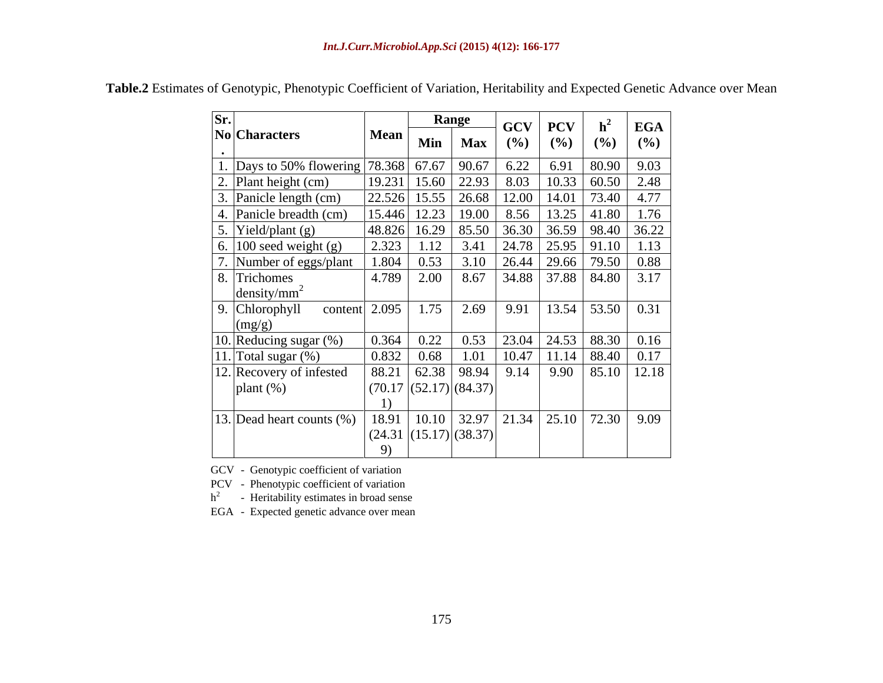| Sr.       |                                                                       |                |      | Range                                                    | GCV    | <b>PCV</b>              | h <sup>2</sup> | <b>EGA</b>                          |
|-----------|-----------------------------------------------------------------------|----------------|------|----------------------------------------------------------|--------|-------------------------|----------------|-------------------------------------|
| $\bullet$ | $\vert$ No Characters                                                 | Mean           | Min  | <b>Max</b>                                               | $($ %) | (%)                     | (%)            | $($ %)                              |
|           | 1. Days to 50% flowering 78.368 67.67 90.67                           |                |      |                                                          | 6.22   | 6.91                    | 80.90          | 9.03                                |
|           | 2. Plant height (cm)                                                  |                |      | $ 19.231 $ 15.60   22.93                                 | 8.03   |                         |                | $10.33 \mid 60.50 \mid 2.48$        |
|           | $\vert$ 3. Panicle length (cm)                                        | 22.526 15.55   |      | 26.68                                                    | 12.00  | 14.01                   | 73.40          | 4.77                                |
|           | 4. Panicle breadth (cm)                                               | $15.446$ 12.23 |      | 19.00                                                    |        | 8.56   13.25   41.80    |                | 1.76                                |
|           | $\overline{\phantom{a}}$ 5. Yield/plant (g)                           |                |      | 48.826 16.29 85.50                                       |        |                         |                | $36.30$ 36.59   98.40   36.22       |
|           | $\frac{6.100 \text{ seed weight (g)}}{7 \text{ Number of eggs/plan}}$ | 2.323          | 1.12 | 3.41                                                     |        | 24.78   25.95   91.10   |                | 1.13                                |
|           | Number of eggs/plant                                                  | 1.804          | 0.53 | 3.10                                                     |        | $26.44$ 29.66           | 79.50          | 0.88                                |
|           | 8. Trichomes                                                          | 4.789          | 2.00 | 8.67                                                     |        |                         |                | $34.88$ 37.88 84.80 3.17            |
|           | density/mm <sup>2</sup>                                               |                |      |                                                          |        |                         |                |                                     |
|           | $\vert$ 9. Chlorophyll<br>content                                     | 2.095          | 1.75 | 2.69                                                     | 9.91   | $13.54$ 53.50           |                | 0.31                                |
|           | (mg/g)                                                                |                |      |                                                          |        |                         |                |                                     |
|           | 10. Reducing sugar $(\%)$                                             | 0.364          | 0.22 | 0.53                                                     |        | 23.04 24.53 88.30       |                | 0.16                                |
|           | $ 11. $ Total sugar $(\%)$                                            | 0.832          | 0.68 |                                                          |        | $10.47$   11.14   88.40 |                | 0.17                                |
|           | 12. Recovery of infested                                              |                |      | $88.21$ 62.38 98.94                                      | 9.14   |                         |                | $9.90$   85.10   12.18              |
|           | $plan{(\%)}$                                                          |                |      | $\left(70.17\right)\left(52.17\right)\left(84.37\right)$ |        |                         |                |                                     |
|           |                                                                       |                |      |                                                          |        |                         |                |                                     |
|           | 13. Dead heart counts $(\%)$                                          | 18.91          |      | $10.10$ 32.97                                            |        |                         |                | $\mid$ 21.34   25.10   72.30   9.09 |
|           |                                                                       |                |      | $\left  \frac{(24.31)(15.17)}{(38.37)} \right $          |        |                         |                |                                     |
|           |                                                                       | 9)             |      |                                                          |        |                         |                |                                     |

**Table.2** Estimates of Genotypic, Phenotypic Coefficient of Variation, Heritability and Expected Genetic Advance over Mean

GCV - Genotypic coefficient of variation

PCV - Phenotypic coefficient of variation  $h^2$  - Heritability estimates in broad sens

 $h<sup>2</sup>$  - Heritability estimates in broad sense

EGA - Expected genetic advance over mean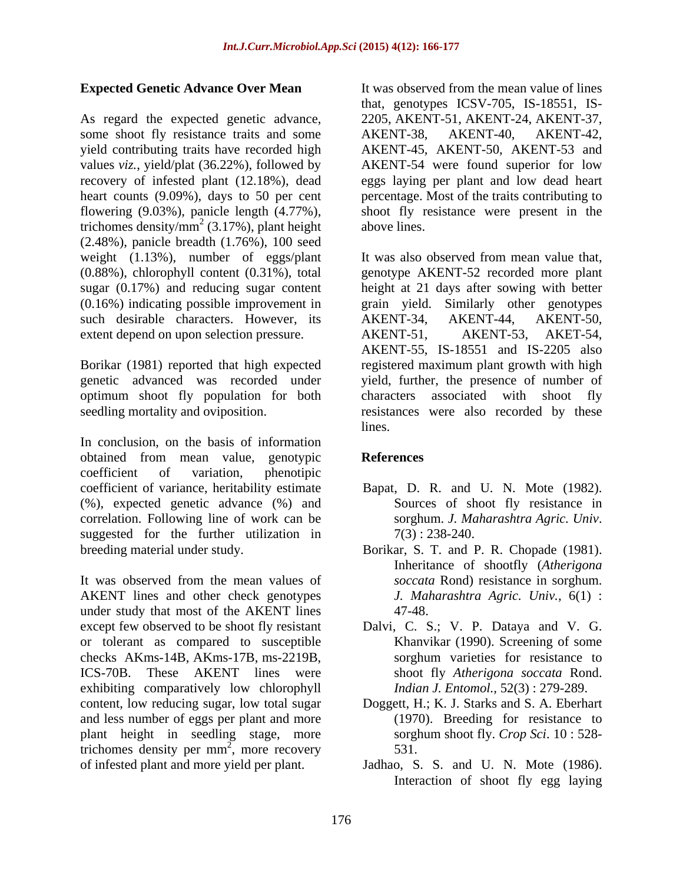# **Expected Genetic Advance Over Mean**

As regard the expected genetic advance, some shoot fly resistance traits and some AKENT-38, AKENT-40, AKENT-42, yield contributing traits have recorded high AKENT-45, AKENT-50, AKENT-53 and values *viz.*, yield/plat (36.22%), followed by AKENT-54 were found superior for low recovery of infested plant (12.18%), dead eggs laying per plant and low dead heart heart counts (9.09%), days to 50 per cent percentage. Most of the traits contributing to flowering (9.03%), panicle length (4.77%), shoot fly resistance were present in the trichomes density/mm<sup>2</sup> (3.17%), plant height above lines. (2.48%), panicle breadth (1.76%), 100 seed weight (1.13%), number of eggs/plant (0.16%) indicating possible improvement in such desirable characters. However, its AKENT-34, AKENT-44, AKENT-50, extent depend on upon selection pressure. AKENT-51, AKENT-53, AKET-54,

optimum shoot fly population for both characters associated with shoot fly

In conclusion, on the basis of information obtained from mean value, genotypic coefficient of variation, phenotipic coefficient of variance, heritability estimate Bapat, D. R. and U. N. Mote (1982). (%), expected genetic advance (%) and correlation. Following line of work can be sorghum. J. Maharashtra Agric. Univ. suggested for the further utilization in  $7(3)$ : 238-240. breeding material under study. Borikar, S. T. and P. R. Chopade (1981).

It was observed from the mean values of AKENT lines and other check genotypes under study that most of the AKENT lines 47-48. except few observed to be shoot fly resistant Dalvi, C. S.; V. P. Dataya and V. G. or tolerant as compared to susceptible Khanvikar (1990). Screening of some checks AKms-14B, AKms-17B, ms-2219B, ICS-70B. These AKENT lines were exhibiting comparatively low chlorophyll content, low reducing sugar, low total sugar Doggett, H.; K. J. Starks and S. A. Eberhart and less number of eggs per plant and more plant height in seedling stage, more trichomes density per  $mm^2$ , more recovery  $531$ . of infested plant and more yield per plant.

It was observed from the mean value of lines that, genotypes ICSV-705, IS-18551, IS- 2205, AKENT-51, AKENT-24, AKENT-37, AKENT-38, AKENT-40, AKENT-42, above lines.

(0.88%), chlorophyll content (0.31%), total genotype AKENT-52 recorded more plant sugar (0.17%) and reducing sugar content height at 21 days after sowing with better Borikar (1981) reported that high expected registered maximum plant growth with high genetic advanced was recorded under yield, further, the presence of number of seedling mortality and oviposition. The resistances were also recorded by these It was also observed from mean value that, Similarly other genotypes AKENT-34, AKENT-44, AKENT-50, AKENT-51, AKENT-53, AKET-54, AKENT-55, IS-18551 and IS-2205 also characters associated with shoot fly lines.

# **References**

- Sources of shoot fly resistance in sorghum. *J. Maharashtra Agric. Univ*. 7(3) : 238-240.
- Inheritance of shootfly (*Atherigona soccata* Rond) resistance in sorghum. *J. Maharashtra Agric. Univ.,* 6(1) : 47-48.
- sorghum varieties for resistance to shoot fly *Atherigona soccata* Rond. *Indian J. Entomol.,* 52(3) : 279-289.
- $\frac{2}{2}$  more recovery 521 , more recovery (1970). Breeding for resistance to sorghum shoot fly. *Crop Sci*. 10 : 528- 531.
	- Jadhao, S. S. and U. N. Mote (1986). Interaction of shoot fly egg laying